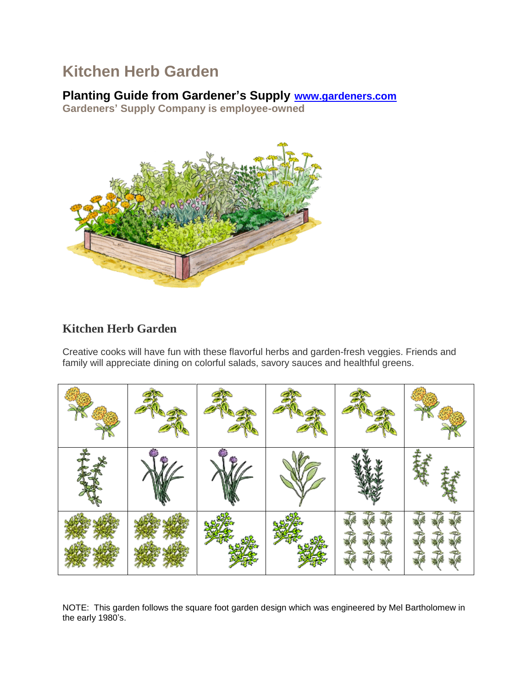# **Kitchen Herb Garden**

### **Planting Guide from Gardener's Supply [www.gardeners.com](http://www.gardeners.com/)**

**Gardeners' Supply Company is employee-owned**



## **Kitchen Herb Garden**

Creative cooks will have fun with these flavorful herbs and garden-fresh veggies. Friends and family will appreciate dining on colorful salads, savory sauces and healthful greens.

NOTE: This garden follows the square foot garden design which was engineered by Mel Bartholomew in the early 1980's.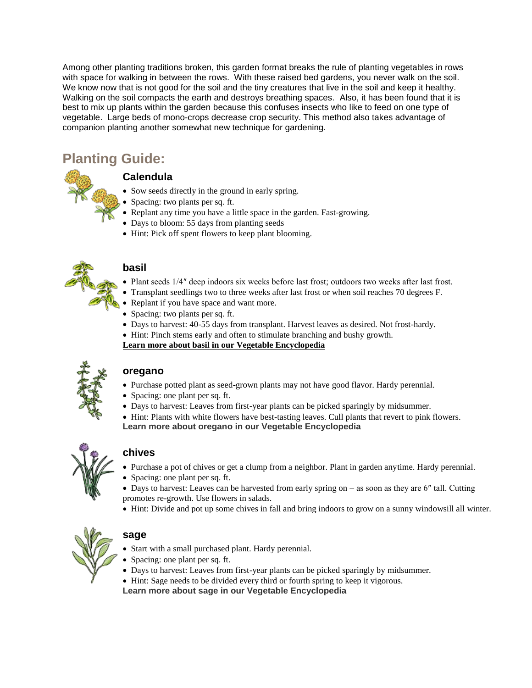Among other planting traditions broken, this garden format breaks the rule of planting vegetables in rows with space for walking in between the rows. With these raised bed gardens, you never walk on the soil. We know now that is not good for the soil and the tiny creatures that live in the soil and keep it healthy. Walking on the soil compacts the earth and destroys breathing spaces. Also, it has been found that it is best to mix up plants within the garden because this confuses insects who like to feed on one type of vegetable. Large beds of mono-crops decrease crop security. This method also takes advantage of companion planting another somewhat new technique for gardening.

# **Planting Guide:**



#### **Calendula**

- Sow seeds directly in the ground in early spring.
- Spacing: two plants per sq. ft.
- Replant any time you have a little space in the garden. Fast-growing.
- Days to bloom: 55 days from planting seeds
- Hint: Pick off spent flowers to keep plant blooming.



#### **basil**

- Plant seeds 1/4″ deep indoors six weeks before last frost; outdoors two weeks after last frost.
- Transplant seedlings two to three weeks after last frost or when soil reaches 70 degrees F.
- Replant if you have space and want more.
- Spacing: two plants per sq. ft.
- Days to harvest: 40-55 days from transplant. Harvest leaves as desired. Not frost-hardy.
- Hint: Pinch stems early and often to stimulate branching and bushy growth.

**[Learn more about basil in our Vegetable Encyclopedia](http://www.gardeners.com/on/demandware.store/Sites-Gardeners-Site/default/Page-Encyclopedia?asset=7155)**



#### **oregano**

- Purchase potted plant as seed-grown plants may not have good flavor. Hardy perennial.
- Spacing: one plant per sq. ft.
- Days to harvest: Leaves from first-year plants can be picked sparingly by midsummer.
- Hint: Plants with white flowers have best-tasting leaves. Cull plants that revert to pink flowers. **[Learn more about oregano in our Vegetable Encyclopedia](http://www.gardeners.com/on/demandware.store/Sites-Gardeners-Site/default/Page-Encyclopedia?asset=7200)**



#### **chives**

- Purchase a pot of chives or get a clump from a neighbor. Plant in garden anytime. Hardy perennial.
- Spacing: one plant per sq. ft.
- Days to harvest: Leaves can be harvested from early spring on as soon as they are 6″ tall. Cutting promotes re-growth. Use flowers in salads.
- Hint: Divide and pot up some chives in fall and bring indoors to grow on a sunny windowsill all winter.



#### **sage**

- Start with a small purchased plant. Hardy perennial.
- Spacing: one plant per sq. ft.
- Days to harvest: Leaves from first-year plants can be picked sparingly by midsummer.
- Hint: Sage needs to be divided every third or fourth spring to keep it vigorous.

**[Learn more about sage in our Vegetable Encyclopedia](http://www.gardeners.com/on/demandware.store/Sites-Gardeners-Site/default/Page-Encyclopedia?asset=7204)**